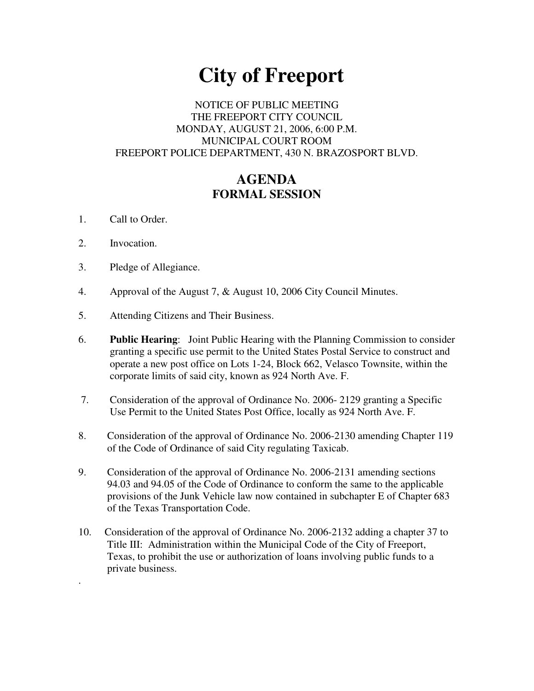# **City of Freeport**

# NOTICE OF PUBLIC MEETING THE FREEPORT CITY COUNCIL MONDAY, AUGUST 21, 2006, 6:00 P.M. MUNICIPAL COURT ROOM FREEPORT POLICE DEPARTMENT, 430 N. BRAZOSPORT BLVD.

# **AGENDA FORMAL SESSION**

- 1. Call to Order.
- 2. Invocation.

.

- 3. Pledge of Allegiance.
- 4. Approval of the August 7, & August 10, 2006 City Council Minutes.
- 5. Attending Citizens and Their Business.
- 6. **Public Hearing**: Joint Public Hearing with the Planning Commission to consider granting a specific use permit to the United States Postal Service to construct and operate a new post office on Lots 1-24, Block 662, Velasco Townsite, within the corporate limits of said city, known as 924 North Ave. F.
- 7. Consideration of the approval of Ordinance No. 2006- 2129 granting a Specific Use Permit to the United States Post Office, locally as 924 North Ave. F.
- 8. Consideration of the approval of Ordinance No. 2006-2130 amending Chapter 119 of the Code of Ordinance of said City regulating Taxicab.
- 9. Consideration of the approval of Ordinance No. 2006-2131 amending sections 94.03 and 94.05 of the Code of Ordinance to conform the same to the applicable provisions of the Junk Vehicle law now contained in subchapter E of Chapter 683 of the Texas Transportation Code.
- 10. Consideration of the approval of Ordinance No. 2006-2132 adding a chapter 37 to Title III: Administration within the Municipal Code of the City of Freeport, Texas, to prohibit the use or authorization of loans involving public funds to a private business.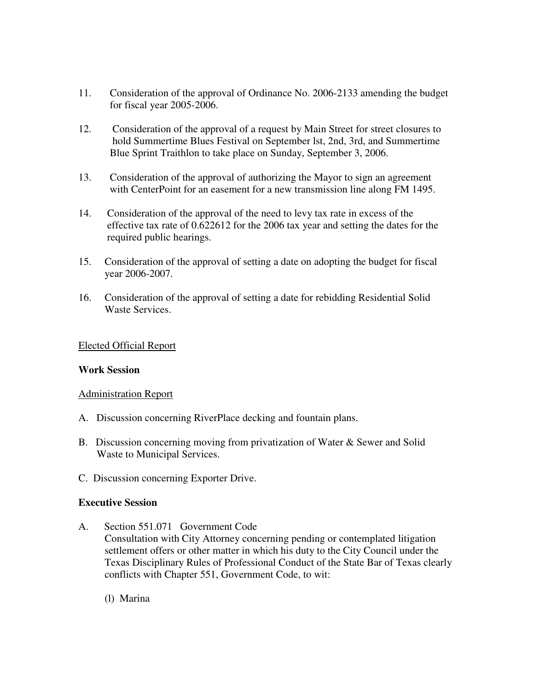- 11. Consideration of the approval of Ordinance No. 2006-2133 amending the budget for fiscal year 2005-2006.
- 12. Consideration of the approval of a request by Main Street for street closures to hold Summertime Blues Festival on September lst, 2nd, 3rd, and Summertime Blue Sprint Traithlon to take place on Sunday, September 3, 2006.
- 13. Consideration of the approval of authorizing the Mayor to sign an agreement with CenterPoint for an easement for a new transmission line along FM 1495.
- 14. Consideration of the approval of the need to levy tax rate in excess of the effective tax rate of 0.622612 for the 2006 tax year and setting the dates for the required public hearings.
- 15. Consideration of the approval of setting a date on adopting the budget for fiscal year 2006-2007.
- 16. Consideration of the approval of setting a date for rebidding Residential Solid Waste Services.

## Elected Official Report

#### **Work Session**

#### Administration Report

- A. Discussion concerning RiverPlace decking and fountain plans.
- B. Discussion concerning moving from privatization of Water & Sewer and Solid Waste to Municipal Services.
- C. Discussion concerning Exporter Drive.

#### **Executive Session**

- A. Section 551.071 Government Code Consultation with City Attorney concerning pending or contemplated litigation settlement offers or other matter in which his duty to the City Council under the Texas Disciplinary Rules of Professional Conduct of the State Bar of Texas clearly conflicts with Chapter 551, Government Code, to wit:
	- (l) Marina